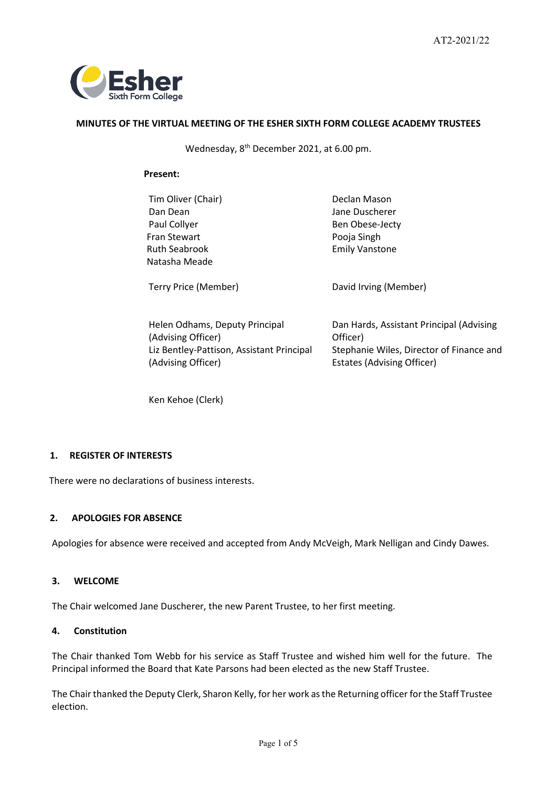

# **MINUTES OF THE VIRTUAL MEETING OF THE ESHER SIXTH FORM COLLEGE ACADEMY TRUSTEES**

Wednesday, 8th December 2021, at 6.00 pm.

## **Present:**

| Tim Oliver (Chair)   | Declan Mason          |
|----------------------|-----------------------|
| Dan Dean             | Jane Duscherer        |
| Paul Collyer         | Ben Obese-Jecty       |
| Fran Stewart         | Pooja Singh           |
| <b>Ruth Seabrook</b> | <b>Emily Vanstone</b> |
| Natasha Meade        |                       |
| Terry Price (Member) | David Irving (Member) |
|                      |                       |

| Helen Odhams, Deputy Principal            | Dan Hards, Assistant Principal (Advising |
|-------------------------------------------|------------------------------------------|
| (Advising Officer)                        | Officer)                                 |
| Liz Bentley-Pattison, Assistant Principal | Stephanie Wiles, Director of Finance and |
| (Advising Officer)                        | <b>Estates (Advising Officer)</b>        |

Ken Kehoe (Clerk)

# **1. REGISTER OF INTERESTS**

There were no declarations of business interests.

### **2. APOLOGIES FOR ABSENCE**

Apologies for absence were received and accepted from Andy McVeigh, Mark Nelligan and Cindy Dawes.

## **3. WELCOME**

The Chair welcomed Jane Duscherer, the new Parent Trustee, to her first meeting.

## **4. Constitution**

The Chair thanked Tom Webb for his service as Staff Trustee and wished him well for the future. The Principal informed the Board that Kate Parsons had been elected as the new Staff Trustee.

The Chair thanked the Deputy Clerk, Sharon Kelly, for her work as the Returning officer for the Staff Trustee election.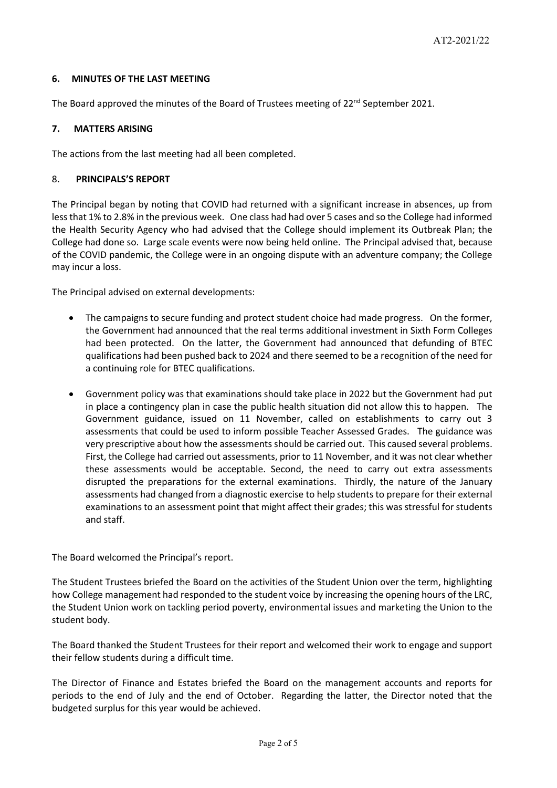# **6. MINUTES OF THE LAST MEETING**

The Board approved the minutes of the Board of Trustees meeting of 22<sup>nd</sup> September 2021.

# **7. MATTERS ARISING**

The actions from the last meeting had all been completed.

# 8. **PRINCIPALS'S REPORT**

The Principal began by noting that COVID had returned with a significant increase in absences, up from less that 1% to 2.8% in the previous week. One class had had over 5 cases and so the College had informed the Health Security Agency who had advised that the College should implement its Outbreak Plan; the College had done so. Large scale events were now being held online. The Principal advised that, because of the COVID pandemic, the College were in an ongoing dispute with an adventure company; the College may incur a loss.

The Principal advised on external developments:

- The campaigns to secure funding and protect student choice had made progress. On the former, the Government had announced that the real terms additional investment in Sixth Form Colleges had been protected. On the latter, the Government had announced that defunding of BTEC qualifications had been pushed back to 2024 and there seemed to be a recognition of the need for a continuing role for BTEC qualifications.
- Government policy was that examinations should take place in 2022 but the Government had put in place a contingency plan in case the public health situation did not allow this to happen. The Government guidance, issued on 11 November, called on establishments to carry out 3 assessments that could be used to inform possible Teacher Assessed Grades. The guidance was very prescriptive about how the assessments should be carried out. This caused several problems. First, the College had carried out assessments, prior to 11 November, and it was not clear whether these assessments would be acceptable. Second, the need to carry out extra assessments disrupted the preparations for the external examinations. Thirdly, the nature of the January assessments had changed from a diagnostic exercise to help students to prepare for their external examinations to an assessment point that might affect their grades; this was stressful for students and staff.

The Board welcomed the Principal's report.

The Student Trustees briefed the Board on the activities of the Student Union over the term, highlighting how College management had responded to the student voice by increasing the opening hours of the LRC, the Student Union work on tackling period poverty, environmental issues and marketing the Union to the student body.

The Board thanked the Student Trustees for their report and welcomed their work to engage and support their fellow students during a difficult time.

The Director of Finance and Estates briefed the Board on the management accounts and reports for periods to the end of July and the end of October. Regarding the latter, the Director noted that the budgeted surplus for this year would be achieved.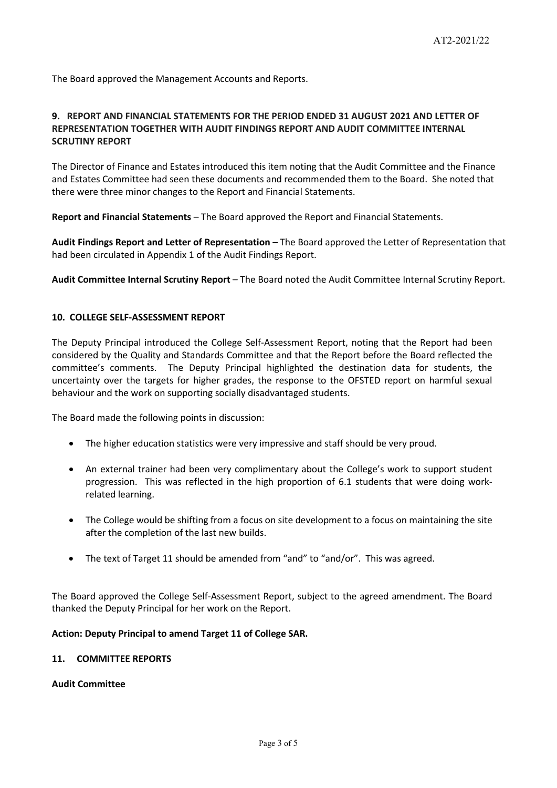The Board approved the Management Accounts and Reports.

# **9. REPORT AND FINANCIAL STATEMENTS FOR THE PERIOD ENDED 31 AUGUST 2021 AND LETTER OF REPRESENTATION TOGETHER WITH AUDIT FINDINGS REPORT AND AUDIT COMMITTEE INTERNAL SCRUTINY REPORT**

The Director of Finance and Estates introduced this item noting that the Audit Committee and the Finance and Estates Committee had seen these documents and recommended them to the Board. She noted that there were three minor changes to the Report and Financial Statements.

**Report and Financial Statements** – The Board approved the Report and Financial Statements.

**Audit Findings Report and Letter of Representation** – The Board approved the Letter of Representation that had been circulated in Appendix 1 of the Audit Findings Report.

**Audit Committee Internal Scrutiny Report** – The Board noted the Audit Committee Internal Scrutiny Report.

## **10. COLLEGE SELF-ASSESSMENT REPORT**

The Deputy Principal introduced the College Self-Assessment Report, noting that the Report had been considered by the Quality and Standards Committee and that the Report before the Board reflected the committee's comments. The Deputy Principal highlighted the destination data for students, the uncertainty over the targets for higher grades, the response to the OFSTED report on harmful sexual behaviour and the work on supporting socially disadvantaged students.

The Board made the following points in discussion:

- The higher education statistics were very impressive and staff should be very proud.
- An external trainer had been very complimentary about the College's work to support student progression. This was reflected in the high proportion of 6.1 students that were doing workrelated learning.
- The College would be shifting from a focus on site development to a focus on maintaining the site after the completion of the last new builds.
- The text of Target 11 should be amended from "and" to "and/or". This was agreed.

The Board approved the College Self-Assessment Report, subject to the agreed amendment. The Board thanked the Deputy Principal for her work on the Report.

#### **Action: Deputy Principal to amend Target 11 of College SAR.**

#### **11. COMMITTEE REPORTS**

**Audit Committee**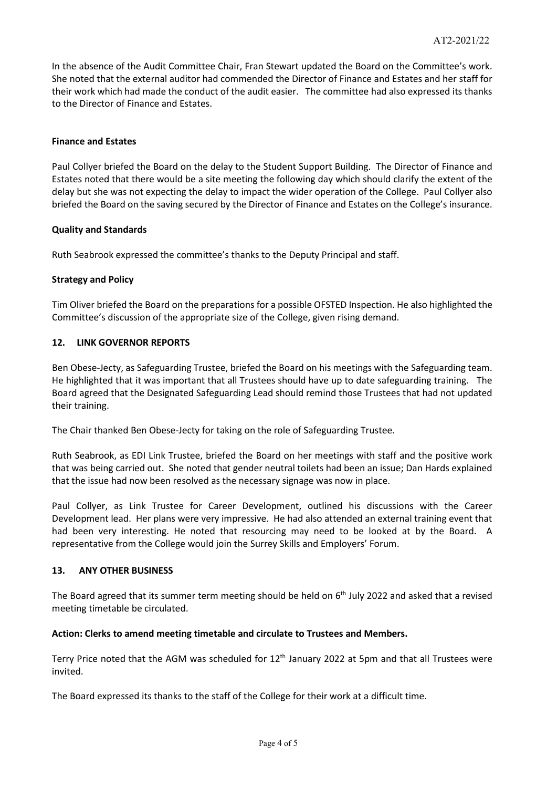In the absence of the Audit Committee Chair, Fran Stewart updated the Board on the Committee's work. She noted that the external auditor had commended the Director of Finance and Estates and her staff for their work which had made the conduct of the audit easier. The committee had also expressed its thanks to the Director of Finance and Estates.

## **Finance and Estates**

Paul Collyer briefed the Board on the delay to the Student Support Building. The Director of Finance and Estates noted that there would be a site meeting the following day which should clarify the extent of the delay but she was not expecting the delay to impact the wider operation of the College. Paul Collyer also briefed the Board on the saving secured by the Director of Finance and Estates on the College's insurance.

## **Quality and Standards**

Ruth Seabrook expressed the committee's thanks to the Deputy Principal and staff.

## **Strategy and Policy**

Tim Oliver briefed the Board on the preparations for a possible OFSTED Inspection. He also highlighted the Committee's discussion of the appropriate size of the College, given rising demand.

## **12. LINK GOVERNOR REPORTS**

Ben Obese-Jecty, as Safeguarding Trustee, briefed the Board on his meetings with the Safeguarding team. He highlighted that it was important that all Trustees should have up to date safeguarding training. The Board agreed that the Designated Safeguarding Lead should remind those Trustees that had not updated their training.

The Chair thanked Ben Obese-Jecty for taking on the role of Safeguarding Trustee.

Ruth Seabrook, as EDI Link Trustee, briefed the Board on her meetings with staff and the positive work that was being carried out. She noted that gender neutral toilets had been an issue; Dan Hards explained that the issue had now been resolved as the necessary signage was now in place.

Paul Collyer, as Link Trustee for Career Development, outlined his discussions with the Career Development lead. Her plans were very impressive. He had also attended an external training event that had been very interesting. He noted that resourcing may need to be looked at by the Board. A representative from the College would join the Surrey Skills and Employers' Forum.

#### **13. ANY OTHER BUSINESS**

The Board agreed that its summer term meeting should be held on  $6<sup>th</sup>$  July 2022 and asked that a revised meeting timetable be circulated.

#### **Action: Clerks to amend meeting timetable and circulate to Trustees and Members.**

Terry Price noted that the AGM was scheduled for 12<sup>th</sup> January 2022 at 5pm and that all Trustees were invited.

The Board expressed its thanks to the staff of the College for their work at a difficult time.